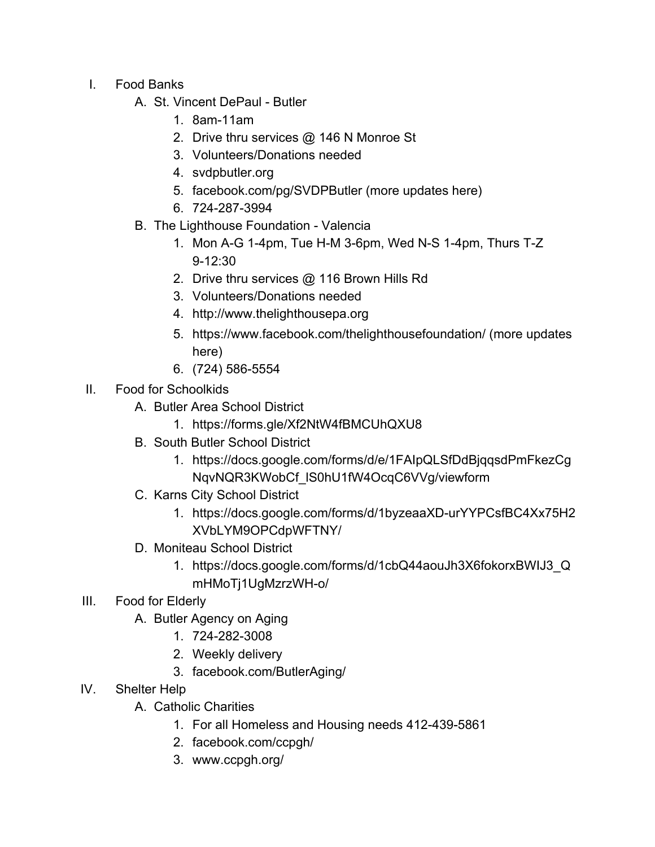- I. Food Banks
	- A. St. Vincent DePaul Butler
		- 1. 8am-11am
		- 2. Drive thru services @ 146 N Monroe St
		- 3. Volunteers/Donations needed
		- 4. [svdpbutler.org](http://svdpbutler.org/?fbclid=IwAR1uLFlsOnlPfOWEAeTkjC2Q5ClQ4D9hei4FkQ4x3Wsb8sbL4_1K--YbNQM)
		- 5. [facebook.com/pg/SVDPButler](https://www.facebook.com/pg/SVDPButler/about/?ref=page_internal) (more updates here)
		- 6. 724-287-3994
	- B. The Lighthouse Foundation Valencia
		- 1. Mon A-G 1-4pm, Tue H-M 3-6pm, Wed N-S 1-4pm, Thurs T-Z 9-12:30
		- 2. Drive thru services @ 116 Brown Hills Rd
		- 3. Volunteers/Donations needed
		- 4. [http://www.thelighthousepa.org](http://www.thelighthousepa.org/?fbclid=IwAR0sru3ARUKIwLU9XfDYgjUUamyW8LMDKJgUl21TMb5q1Sqehckhd53uEKo)
		- 5. <https://www.facebook.com/thelighthousefoundation/> (more updates here)
		- 6. (724) 586-5554
- II. Food for Schoolkids
	- A. Butler Area School District
		- 1. [https://forms.gle/Xf2NtW4fBMCUhQXU8](https://forms.gle/Xf2NtW4fBMCUhQXU8?fbclid=IwAR1zeugec4tPsubQJ0Ors01hRDV5ybB0LdXb2eci86KyO8wxl51Xg6JIWqs)
	- B. South Butler School District
		- 1. [https://docs.google.com/forms/d/e/1FAIpQLSfDdBjqqsdPmFkezCg](https://docs.google.com/forms/d/e/1FAIpQLSfDdBjqqsdPmFkezCgNqvNQR3KWobCf_lS0hU1fW4OcqC6VVg/viewform?fbclid=IwAR14mbfhbpbuLnvi91C8qwaV9D0s4god7QPMD638CH4BEI_qFGOUSzgRePU) [NqvNQR3KWobCf\\_lS0hU1fW4OcqC6VVg/viewform](https://docs.google.com/forms/d/e/1FAIpQLSfDdBjqqsdPmFkezCgNqvNQR3KWobCf_lS0hU1fW4OcqC6VVg/viewform?fbclid=IwAR14mbfhbpbuLnvi91C8qwaV9D0s4god7QPMD638CH4BEI_qFGOUSzgRePU)
	- C. Karns City School District
		- 1. [https://docs.google.com/forms/d/1byzeaaXD-urYYPCsfBC4Xx75H2](https://docs.google.com/forms/d/1byzeaaXD-urYYPCsfBC4Xx75H2XVbLYM9OPCdpWFTNY/?fbclid=IwAR0DPgT-9sCPHaQ09oIdSIUSMZp2f_PYr2E2X7-0zk6H8eu-HTzesYIEPuE) [XVbLYM9OPCdpWFTNY/](https://docs.google.com/forms/d/1byzeaaXD-urYYPCsfBC4Xx75H2XVbLYM9OPCdpWFTNY/?fbclid=IwAR0DPgT-9sCPHaQ09oIdSIUSMZp2f_PYr2E2X7-0zk6H8eu-HTzesYIEPuE)
	- D. Moniteau School District
		- 1. [https://docs.google.com/forms/d/1cbQ44aouJh3X6fokorxBWIJ3\\_Q](https://docs.google.com/forms/d/1cbQ44aouJh3X6fokorxBWIJ3_QmHMoTj1UgMzrzWH-o/?fbclid=IwAR0xe25_qxK5ZzK3V9I7dF8xma-94B8RIHnSV_3tGT8JlxUj2PSvFiye050) [mHMoTj1UgMzrzWH-o/](https://docs.google.com/forms/d/1cbQ44aouJh3X6fokorxBWIJ3_QmHMoTj1UgMzrzWH-o/?fbclid=IwAR0xe25_qxK5ZzK3V9I7dF8xma-94B8RIHnSV_3tGT8JlxUj2PSvFiye050)
- III. Food for Elderly
	- A. Butler Agency on Aging
		- 1. 724-282-3008
		- 2. Weekly delivery
		- 3. [facebook.com/ButlerAging/](https://www.facebook.com/ButlerAging/)
- IV. Shelter Help
	- A. Catholic Charities
		- 1. For all Homeless and Housing needs 412-439-5861
		- 2. [facebook.com/ccpgh/](https://www.facebook.com/ccpgh/)
		- 3. [www.ccpgh.org/](https://www.ccpgh.org/)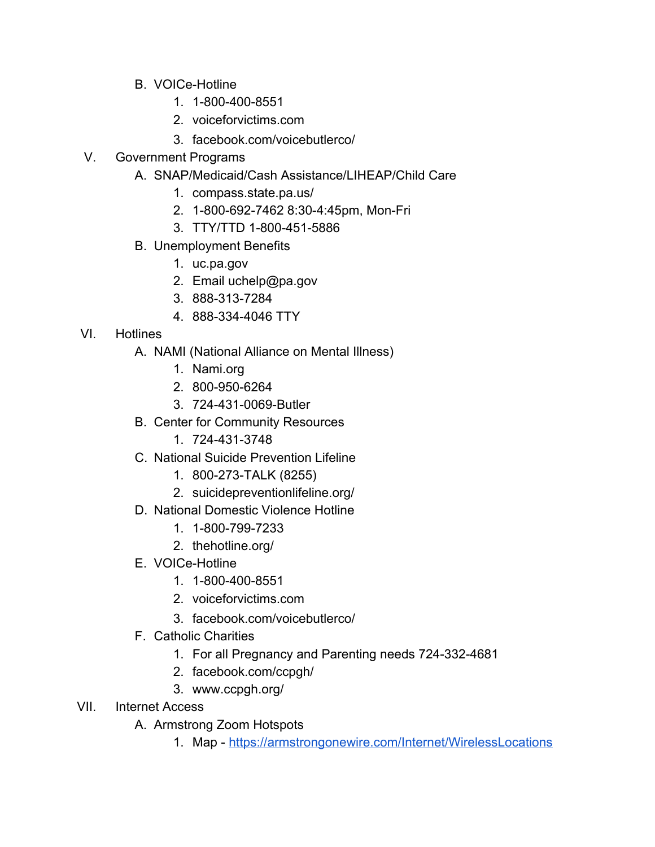- B. VOICe-Hotline
	- 1. 1-800-400-8551
	- 2. [voiceforvictims.com](http://www.voiceforvictims.com/?fbclid=IwAR17Yc2H-b5CFmmtuRxqm7eDGESeZbLEM-ntCXNMTJ1GFobbSb5X2VOp3Jo)
	- 3. [facebook.com/voicebutlerco/](https://www.facebook.com/voicebutlerco/)
- V. Government Programs
	- A. SNAP/Medicaid/Cash Assistance/LIHEAP/Child Care
		- 1. [compass.state.pa.us/](https://www.compass.state.pa.us/)
		- 2. 1-800-692-7462 8:30-4:45pm, Mon-Fri
		- 3. TTY/TTD 1-800-451-5886
	- B. Unemployment Benefits
		- 1. uc.pa.gov
		- 2. Email [uchelp@pa.gov](mailto:uchelp@pa.gov)
		- 3. 888-313-7284
		- 4. 888-334-4046 TTY
- VI. Hotlines
	- A. NAMI (National Alliance on Mental Illness)
		- 1. Nami.org
		- 2. 800-950-6264
		- 3. 724-431-0069-Butler
	- B. Center for Community Resources
		- 1. 724-431-3748
	- C. National Suicide Prevention Lifeline
		- 1. 800-273-TALK (8255)
		- 2. [suicidepreventionlifeline.org/](https://suicidepreventionlifeline.org/)
	- D. National Domestic Violence Hotline
		- 1. 1-800-799-7233
		- 2. [thehotline.org/](https://www.thehotline.org/)
	- E. VOICe-Hotline
		- 1. 1-800-400-8551
		- 2. [voiceforvictims.com](http://www.voiceforvictims.com/?fbclid=IwAR17Yc2H-b5CFmmtuRxqm7eDGESeZbLEM-ntCXNMTJ1GFobbSb5X2VOp3Jo)
		- 3. [facebook.com/voicebutlerco/](https://www.facebook.com/voicebutlerco/)
	- F. Catholic Charities
		- 1. For all Pregnancy and Parenting needs 724-332-4681
		- 2. [facebook.com/ccpgh/](https://www.facebook.com/ccpgh/)
		- 3. [www.ccpgh.org/](https://www.ccpgh.org/)
- VII. Internet Access
	- A. Armstrong Zoom Hotspots
		- 1. Map <https://armstrongonewire.com/Internet/WirelessLocations>